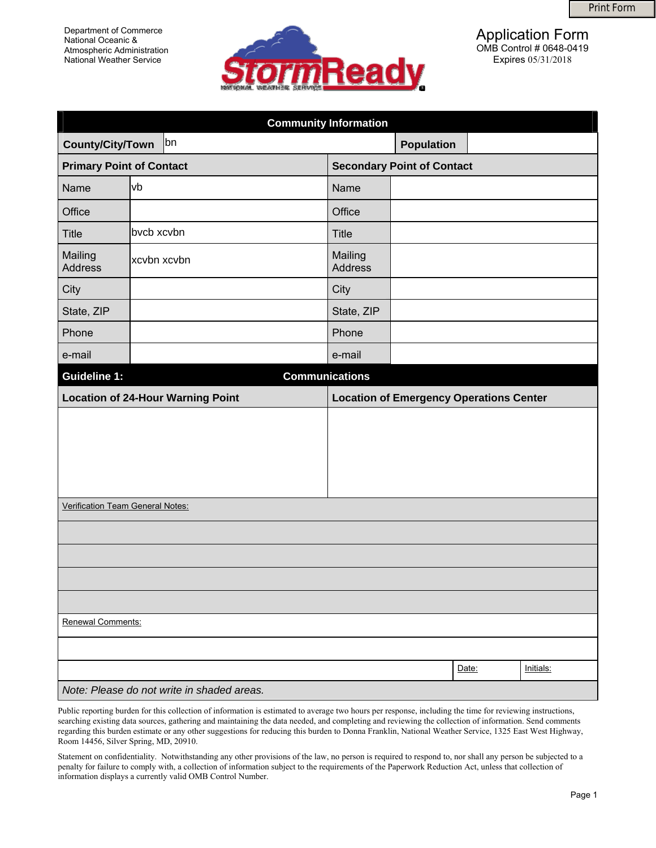

| Department of Commerce<br>National Oceanic &<br>Atmospheric Administration<br><b>National Weather Service</b> |                                            | <b>ormReady</b>                   | <b>Print Form</b><br><b>Application Form</b><br>OMB Control # 0648-0419<br>Expires 05/31/2018 |
|---------------------------------------------------------------------------------------------------------------|--------------------------------------------|-----------------------------------|-----------------------------------------------------------------------------------------------|
|                                                                                                               |                                            | <b>Community Information</b>      |                                                                                               |
| County/City/Town                                                                                              | bn                                         |                                   | <b>Population</b>                                                                             |
| <b>Primary Point of Contact</b>                                                                               |                                            | <b>Secondary Point of Contact</b> |                                                                                               |
| Name                                                                                                          | vb                                         | Name                              |                                                                                               |
| Office                                                                                                        |                                            | Office                            |                                                                                               |
| <b>Title</b>                                                                                                  | bvcb xcvbn                                 | <b>Title</b>                      |                                                                                               |
| Mailing<br><b>Address</b>                                                                                     | xcvbn xcvbn                                | Mailing<br><b>Address</b>         |                                                                                               |
| City                                                                                                          |                                            | City                              |                                                                                               |
| State, ZIP                                                                                                    |                                            | State, ZIP                        |                                                                                               |
| Phone                                                                                                         |                                            | Phone                             |                                                                                               |
| e-mail                                                                                                        |                                            | e-mail                            |                                                                                               |
| <b>Guideline 1:</b>                                                                                           |                                            | <b>Communications</b>             |                                                                                               |
|                                                                                                               | <b>Location of 24-Hour Warning Point</b>   |                                   | <b>Location of Emergency Operations Center</b>                                                |
|                                                                                                               |                                            |                                   |                                                                                               |
|                                                                                                               |                                            |                                   |                                                                                               |
|                                                                                                               |                                            |                                   |                                                                                               |
|                                                                                                               |                                            |                                   |                                                                                               |
|                                                                                                               | Verification Team General Notes:           |                                   |                                                                                               |
|                                                                                                               |                                            |                                   |                                                                                               |
|                                                                                                               |                                            |                                   |                                                                                               |
|                                                                                                               |                                            |                                   |                                                                                               |
|                                                                                                               |                                            |                                   |                                                                                               |
| Renewal Comments:                                                                                             |                                            |                                   |                                                                                               |
|                                                                                                               |                                            |                                   |                                                                                               |
|                                                                                                               |                                            |                                   | Date:<br>Initials:                                                                            |
|                                                                                                               | Note: Please do not write in shaded areas. |                                   |                                                                                               |

Public reporting burden for this collection of information is estimated to average two hours per response, including the time for reviewing instructions, searching existing data sources, gathering and maintaining the data needed, and completing and reviewing the collection of information. Send comments regarding this burden estimate or any other suggestions for reducing this burden to Donna Franklin, National Weather Service, 1325 East West Highway, Room 14456, Silver Spring, MD, 20910.

Statement on confidentiality. Notwithstanding any other provisions of the law, no person is required to respond to, nor shall any person be subjected to a penalty for failure to comply with, a collection of information subject to the requirements of the Paperwork Reduction Act, unless that collection of information displays a currently valid OMB Control Number.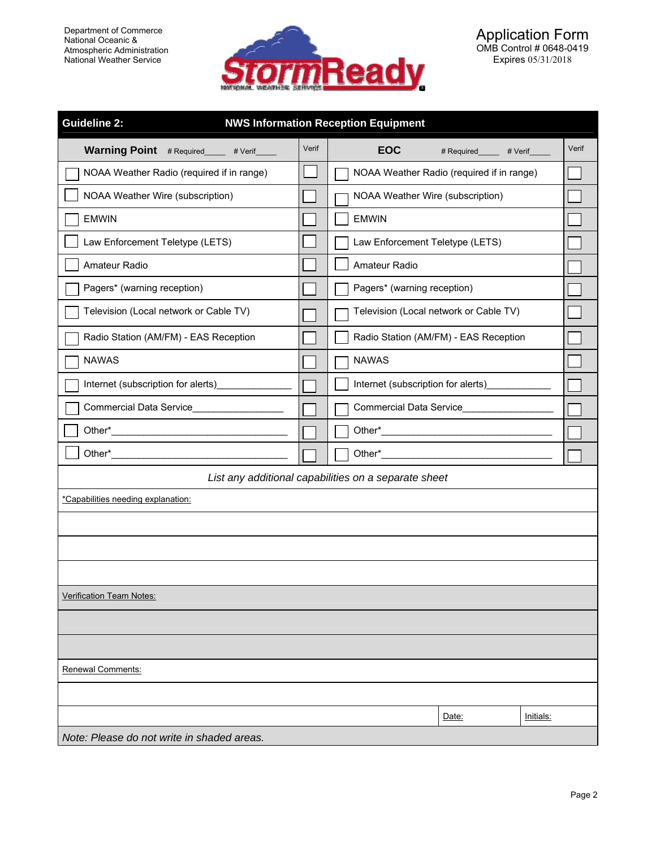

| <b>Guideline 2:</b><br><b>NWS Information Reception Equipment</b> |       |                                           |       |  |  |
|-------------------------------------------------------------------|-------|-------------------------------------------|-------|--|--|
| Warning Point # Required____ # Verif____                          | Verif | <b>EOC</b><br># Required_____<br># Verif  | Verif |  |  |
| NOAA Weather Radio (required if in range)                         |       | NOAA Weather Radio (required if in range) |       |  |  |
| NOAA Weather Wire (subscription)                                  |       | NOAA Weather Wire (subscription)          |       |  |  |
| <b>EMWIN</b>                                                      |       | <b>EMWIN</b>                              |       |  |  |
| Law Enforcement Teletype (LETS)                                   |       | Law Enforcement Teletype (LETS)           |       |  |  |
| Amateur Radio                                                     |       | Amateur Radio                             |       |  |  |
| Pagers* (warning reception)                                       |       | Pagers* (warning reception)               |       |  |  |
| Television (Local network or Cable TV)                            |       | Television (Local network or Cable TV)    |       |  |  |
| Radio Station (AM/FM) - EAS Reception                             |       | Radio Station (AM/FM) - EAS Reception     |       |  |  |
| <b>NAWAS</b>                                                      |       | <b>NAWAS</b>                              |       |  |  |
| Internet (subscription for alerts)                                |       | Internet (subscription for alerts)        |       |  |  |
| Commercial Data Service_______                                    |       | <b>Commercial Data Service</b>            |       |  |  |
| Other <sup>*</sup>                                                |       |                                           |       |  |  |
| Other*                                                            |       |                                           |       |  |  |
| List any additional capabilities on a separate sheet              |       |                                           |       |  |  |
| *Capabilities needing explanation:                                |       |                                           |       |  |  |
|                                                                   |       |                                           |       |  |  |
|                                                                   |       |                                           |       |  |  |
|                                                                   |       |                                           |       |  |  |
| Verification Team Notes:                                          |       |                                           |       |  |  |
|                                                                   |       |                                           |       |  |  |
|                                                                   |       |                                           |       |  |  |
| Renewal Comments:                                                 |       |                                           |       |  |  |
|                                                                   |       |                                           |       |  |  |
|                                                                   |       | Date:<br>Initials:                        |       |  |  |
| Note: Please do not write in shaded areas.                        |       |                                           |       |  |  |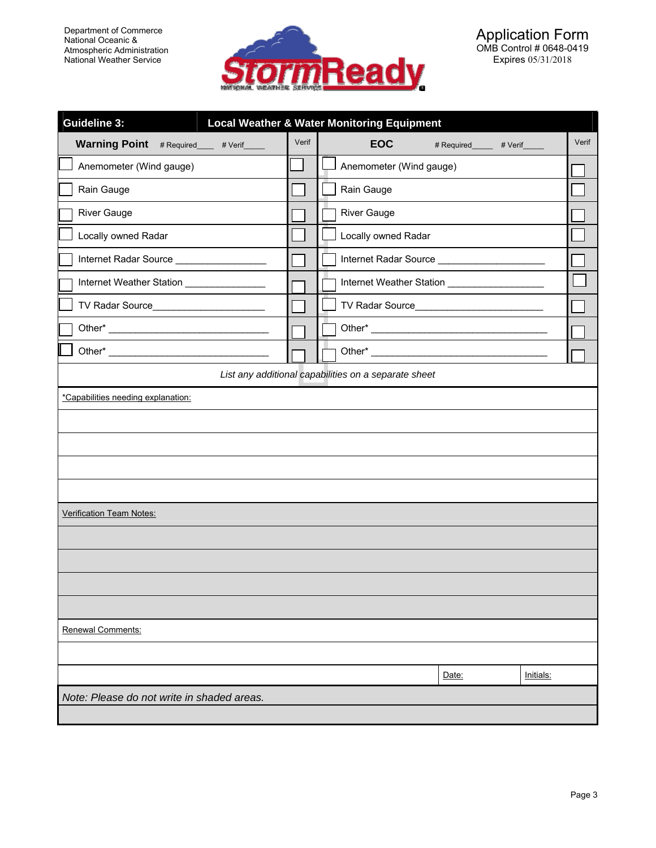

| <b>Guideline 3:</b><br><b>Local Weather &amp; Water Monitoring Equipment</b> |       |                                           |       |  |  |  |
|------------------------------------------------------------------------------|-------|-------------------------------------------|-------|--|--|--|
| Warning Point # Required____ # Verif____                                     | Verif | <b>EOC</b><br># Required______ # Verif___ | Verif |  |  |  |
| Anemometer (Wind gauge)                                                      |       | Anemometer (Wind gauge)                   |       |  |  |  |
| Rain Gauge                                                                   |       | Rain Gauge                                |       |  |  |  |
| <b>River Gauge</b>                                                           |       | <b>River Gauge</b>                        |       |  |  |  |
| Locally owned Radar                                                          |       | Locally owned Radar                       |       |  |  |  |
| Internet Radar Source __________________                                     |       |                                           |       |  |  |  |
| Internet Weather Station _______________                                     |       |                                           |       |  |  |  |
|                                                                              |       |                                           |       |  |  |  |
|                                                                              |       |                                           |       |  |  |  |
|                                                                              |       |                                           |       |  |  |  |
| List any additional capabilities on a separate sheet                         |       |                                           |       |  |  |  |
| *Capabilities needing explanation:<br>Verification Team Notes:               |       |                                           |       |  |  |  |
|                                                                              |       |                                           |       |  |  |  |
|                                                                              |       |                                           |       |  |  |  |
|                                                                              |       |                                           |       |  |  |  |
|                                                                              |       |                                           |       |  |  |  |
| Renewal Comments:                                                            |       |                                           |       |  |  |  |
|                                                                              |       |                                           |       |  |  |  |
|                                                                              |       | Date:<br>Initials:                        |       |  |  |  |
| Note: Please do not write in shaded areas.                                   |       |                                           |       |  |  |  |
|                                                                              |       |                                           |       |  |  |  |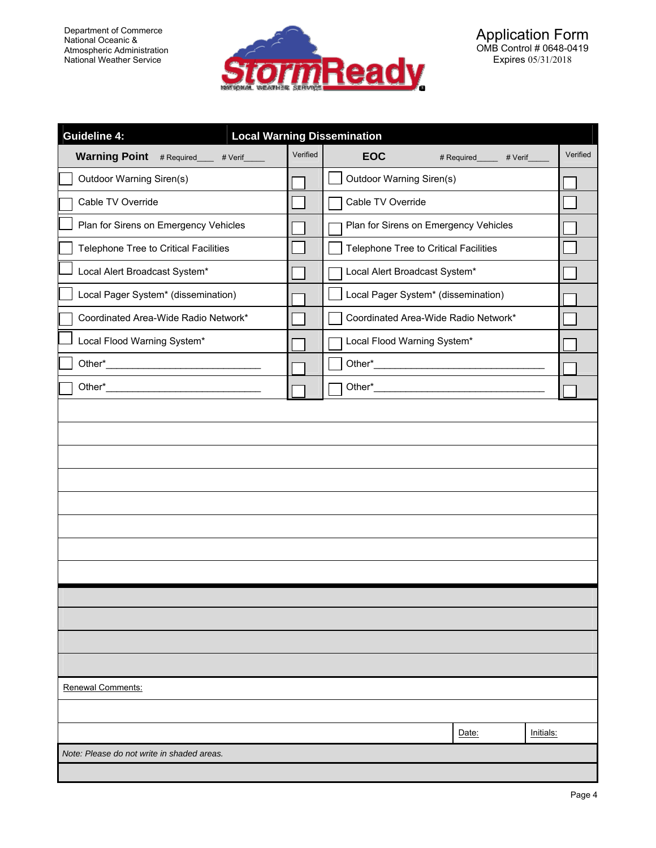Department of Commerce National Oceanic & Atmospheric Administration National Weather Service



| <b>Guideline 4:</b><br><b>Local Warning Dissemination</b> |          |                                       |                    |           |  |
|-----------------------------------------------------------|----------|---------------------------------------|--------------------|-----------|--|
| Warning Point # Required___ # Verif____                   | Verified | <b>EOC</b>                            | # Required # Verif | Verified  |  |
| Outdoor Warning Siren(s)                                  |          | Outdoor Warning Siren(s)              |                    |           |  |
| Cable TV Override                                         |          | Cable TV Override                     |                    |           |  |
| Plan for Sirens on Emergency Vehicles                     |          | Plan for Sirens on Emergency Vehicles |                    |           |  |
| Telephone Tree to Critical Facilities                     |          | Telephone Tree to Critical Facilities |                    |           |  |
| Local Alert Broadcast System*                             |          | Local Alert Broadcast System*         |                    |           |  |
| Local Pager System* (dissemination)                       |          | Local Pager System* (dissemination)   |                    |           |  |
| Coordinated Area-Wide Radio Network*                      |          | Coordinated Area-Wide Radio Network*  |                    |           |  |
| Local Flood Warning System*                               |          | Local Flood Warning System*           |                    |           |  |
|                                                           |          |                                       |                    |           |  |
|                                                           |          |                                       |                    |           |  |
|                                                           |          |                                       |                    |           |  |
|                                                           |          |                                       |                    |           |  |
|                                                           |          |                                       |                    |           |  |
|                                                           |          |                                       |                    |           |  |
|                                                           |          |                                       |                    |           |  |
|                                                           |          |                                       |                    |           |  |
|                                                           |          |                                       |                    |           |  |
|                                                           |          |                                       |                    |           |  |
|                                                           |          |                                       |                    |           |  |
|                                                           |          |                                       |                    |           |  |
|                                                           |          |                                       |                    |           |  |
|                                                           |          |                                       |                    |           |  |
| Renewal Comments:                                         |          |                                       |                    |           |  |
|                                                           |          |                                       |                    |           |  |
|                                                           |          |                                       | Date:              | Initials: |  |
| Note: Please do not write in shaded areas.                |          |                                       |                    |           |  |
|                                                           |          |                                       |                    |           |  |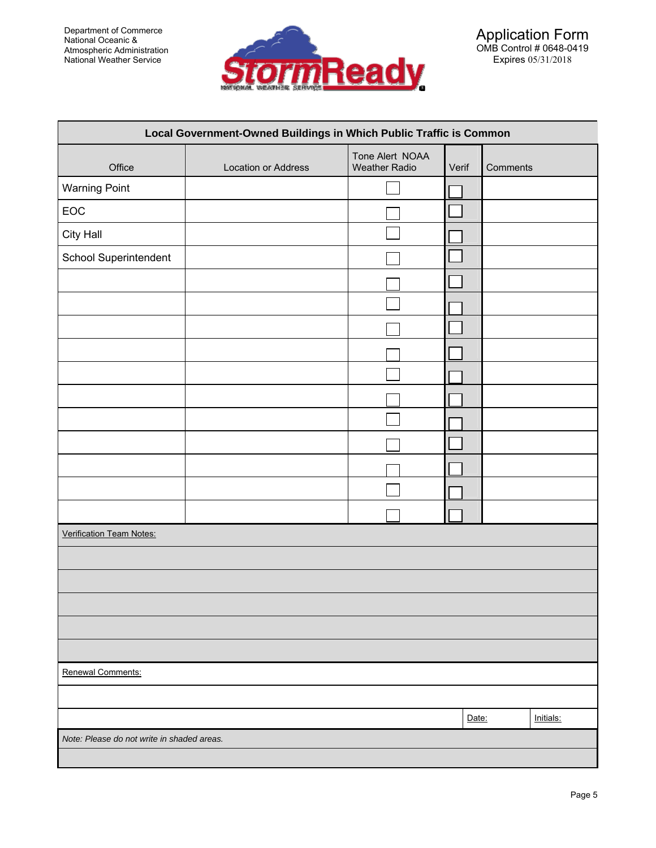

| Local Government-Owned Buildings in Which Public Traffic is Common |                     |                                         |       |          |           |
|--------------------------------------------------------------------|---------------------|-----------------------------------------|-------|----------|-----------|
| Office                                                             | Location or Address | Tone Alert NOAA<br><b>Weather Radio</b> | Verif | Comments |           |
| <b>Warning Point</b>                                               |                     |                                         |       |          |           |
| EOC                                                                |                     |                                         |       |          |           |
| City Hall                                                          |                     |                                         |       |          |           |
| School Superintendent                                              |                     |                                         |       |          |           |
|                                                                    |                     |                                         |       |          |           |
|                                                                    |                     |                                         |       |          |           |
|                                                                    |                     |                                         |       |          |           |
|                                                                    |                     |                                         |       |          |           |
|                                                                    |                     |                                         |       |          |           |
|                                                                    |                     |                                         |       |          |           |
|                                                                    |                     |                                         |       |          |           |
|                                                                    |                     |                                         |       |          |           |
|                                                                    |                     |                                         |       |          |           |
|                                                                    |                     |                                         |       |          |           |
|                                                                    |                     |                                         |       |          |           |
| <b>Verification Team Notes:</b>                                    |                     |                                         |       |          |           |
|                                                                    |                     |                                         |       |          |           |
|                                                                    |                     |                                         |       |          |           |
|                                                                    |                     |                                         |       |          |           |
|                                                                    |                     |                                         |       |          |           |
|                                                                    |                     |                                         |       |          |           |
| Renewal Comments:                                                  |                     |                                         |       |          |           |
|                                                                    |                     |                                         | Date: |          | Initials: |
| Note: Please do not write in shaded areas.                         |                     |                                         |       |          |           |
|                                                                    |                     |                                         |       |          |           |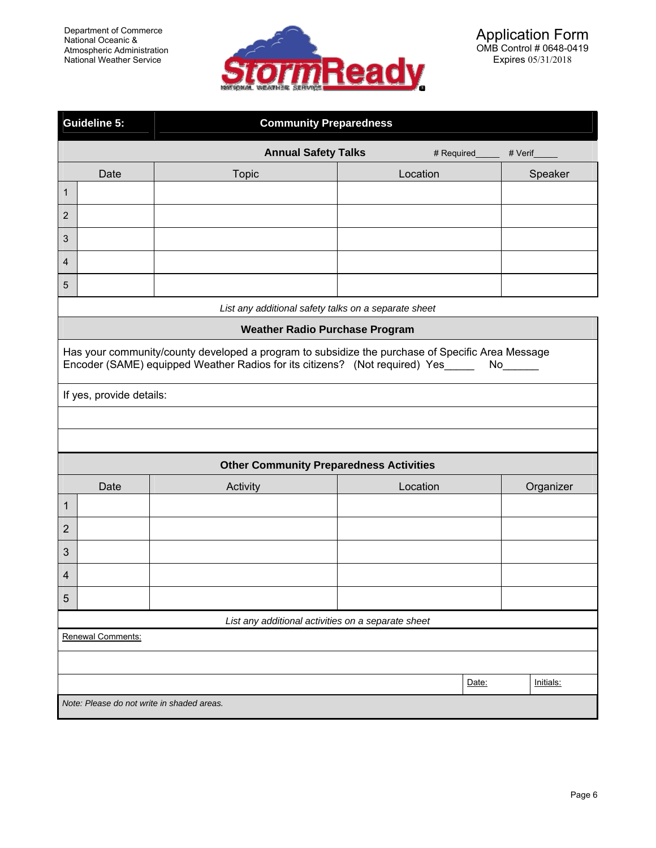

|                                                    | <b>Guideline 5:</b><br><b>Community Preparedness</b>                                                                                                                                 |                                                      |             |         |           |  |  |
|----------------------------------------------------|--------------------------------------------------------------------------------------------------------------------------------------------------------------------------------------|------------------------------------------------------|-------------|---------|-----------|--|--|
|                                                    |                                                                                                                                                                                      | <b>Annual Safety Talks</b>                           | # Required_ | # Verif |           |  |  |
|                                                    | Date                                                                                                                                                                                 | <b>Topic</b>                                         | Location    |         | Speaker   |  |  |
| 1                                                  |                                                                                                                                                                                      |                                                      |             |         |           |  |  |
| $\overline{2}$                                     |                                                                                                                                                                                      |                                                      |             |         |           |  |  |
| 3                                                  |                                                                                                                                                                                      |                                                      |             |         |           |  |  |
| 4                                                  |                                                                                                                                                                                      |                                                      |             |         |           |  |  |
| 5                                                  |                                                                                                                                                                                      |                                                      |             |         |           |  |  |
|                                                    |                                                                                                                                                                                      | List any additional safety talks on a separate sheet |             |         |           |  |  |
|                                                    |                                                                                                                                                                                      | <b>Weather Radio Purchase Program</b>                |             |         |           |  |  |
|                                                    | Has your community/county developed a program to subsidize the purchase of Specific Area Message<br>Encoder (SAME) equipped Weather Radios for its citizens? (Not required) Yes_____ |                                                      |             |         |           |  |  |
|                                                    | If yes, provide details:                                                                                                                                                             |                                                      |             |         |           |  |  |
|                                                    |                                                                                                                                                                                      |                                                      |             |         |           |  |  |
|                                                    |                                                                                                                                                                                      | <b>Other Community Preparedness Activities</b>       |             |         |           |  |  |
|                                                    | Date                                                                                                                                                                                 | Activity                                             | Location    |         | Organizer |  |  |
| 1                                                  |                                                                                                                                                                                      |                                                      |             |         |           |  |  |
| $\overline{2}$                                     |                                                                                                                                                                                      |                                                      |             |         |           |  |  |
| 3                                                  |                                                                                                                                                                                      |                                                      |             |         |           |  |  |
| $\overline{4}$                                     |                                                                                                                                                                                      |                                                      |             |         |           |  |  |
| 5                                                  |                                                                                                                                                                                      |                                                      |             |         |           |  |  |
| List any additional activities on a separate sheet |                                                                                                                                                                                      |                                                      |             |         |           |  |  |
|                                                    | Renewal Comments:                                                                                                                                                                    |                                                      |             |         |           |  |  |
|                                                    |                                                                                                                                                                                      |                                                      |             |         |           |  |  |
|                                                    |                                                                                                                                                                                      |                                                      |             | Date:   | Initials: |  |  |
|                                                    | Note: Please do not write in shaded areas.                                                                                                                                           |                                                      |             |         |           |  |  |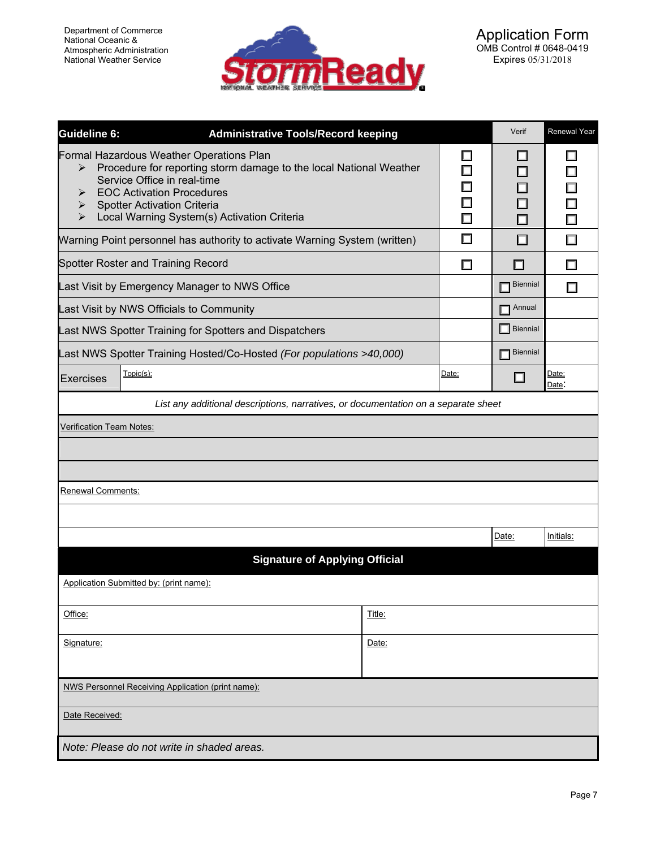

| Guideline 6:                                                                                                                                                                                                                                                                                                   | <b>Administrative Tools/Record keeping</b>                                 |       | Verif                                                       | <b>Renewal Year</b>             |  |  |
|----------------------------------------------------------------------------------------------------------------------------------------------------------------------------------------------------------------------------------------------------------------------------------------------------------------|----------------------------------------------------------------------------|-------|-------------------------------------------------------------|---------------------------------|--|--|
| Formal Hazardous Weather Operations Plan<br>Procedure for reporting storm damage to the local National Weather<br>≻<br>Service Office in real-time<br><b>EOC Activation Procedures</b><br>⋗<br><b>Spotter Activation Criteria</b><br>➤<br>Local Warning System(s) Activation Criteria<br>$\blacktriangleright$ |                                                                            |       | $\overline{\phantom{a}}$<br>$\Box$<br>□<br>$\Box$<br>$\Box$ | Π<br>$\Box$<br>$\Box$<br>$\Box$ |  |  |
|                                                                                                                                                                                                                                                                                                                | Warning Point personnel has authority to activate Warning System (written) | □     | □                                                           | $\Box$                          |  |  |
|                                                                                                                                                                                                                                                                                                                | Spotter Roster and Training Record                                         | □     | ப                                                           | П                               |  |  |
|                                                                                                                                                                                                                                                                                                                | Last Visit by Emergency Manager to NWS Office                              |       | <b>Biennial</b>                                             | <b>Talent</b>                   |  |  |
|                                                                                                                                                                                                                                                                                                                | Last Visit by NWS Officials to Community                                   |       | Annual                                                      |                                 |  |  |
|                                                                                                                                                                                                                                                                                                                | Last NWS Spotter Training for Spotters and Dispatchers                     |       | $\Box$ Biennial                                             |                                 |  |  |
|                                                                                                                                                                                                                                                                                                                | Last NWS Spotter Training Hosted/Co-Hosted (For populations >40,000)       |       | <b>Biennial</b>                                             |                                 |  |  |
| Exercises                                                                                                                                                                                                                                                                                                      | Topic(s):                                                                  | Date: | ப                                                           | Date:<br>Date:                  |  |  |
| List any additional descriptions, narratives, or documentation on a separate sheet                                                                                                                                                                                                                             |                                                                            |       |                                                             |                                 |  |  |
| Verification Team Notes:                                                                                                                                                                                                                                                                                       |                                                                            |       |                                                             |                                 |  |  |
|                                                                                                                                                                                                                                                                                                                |                                                                            |       |                                                             |                                 |  |  |
|                                                                                                                                                                                                                                                                                                                |                                                                            |       |                                                             |                                 |  |  |
| Renewal Comments:                                                                                                                                                                                                                                                                                              |                                                                            |       |                                                             |                                 |  |  |
|                                                                                                                                                                                                                                                                                                                |                                                                            |       |                                                             |                                 |  |  |
|                                                                                                                                                                                                                                                                                                                |                                                                            |       | Date:                                                       | Initials:                       |  |  |
| <b>Signature of Applying Official</b>                                                                                                                                                                                                                                                                          |                                                                            |       |                                                             |                                 |  |  |
|                                                                                                                                                                                                                                                                                                                | Application Submitted by: (print name):                                    |       |                                                             |                                 |  |  |
| Office:<br>Title:                                                                                                                                                                                                                                                                                              |                                                                            |       |                                                             |                                 |  |  |
|                                                                                                                                                                                                                                                                                                                |                                                                            |       |                                                             |                                 |  |  |
| Signature:                                                                                                                                                                                                                                                                                                     | Date:                                                                      |       |                                                             |                                 |  |  |
|                                                                                                                                                                                                                                                                                                                |                                                                            |       |                                                             |                                 |  |  |
|                                                                                                                                                                                                                                                                                                                | NWS Personnel Receiving Application (print name):                          |       |                                                             |                                 |  |  |
| Date Received:                                                                                                                                                                                                                                                                                                 |                                                                            |       |                                                             |                                 |  |  |
|                                                                                                                                                                                                                                                                                                                | Note: Please do not write in shaded areas.                                 |       |                                                             |                                 |  |  |